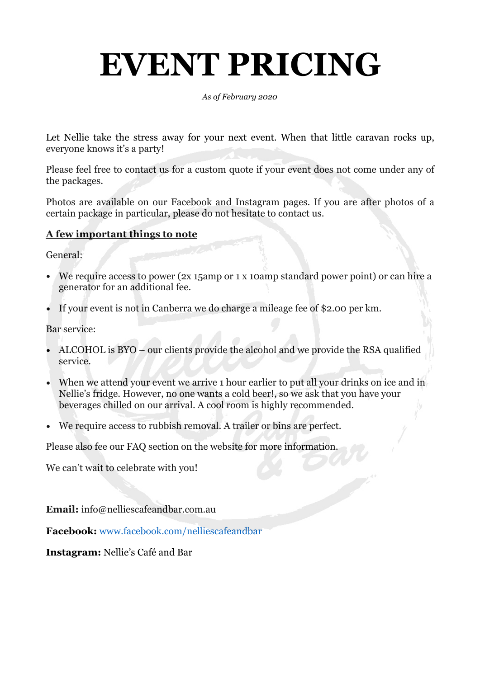# **EVENT PRICING**

*As of February 2020* 

Let Nellie take the stress away for your next event. When that little caravan rocks up, everyone knows it's a party!

Please feel free to contact us for a custom quote if your event does not come under any of the packages.

Photos are available on our Facebook and Instagram pages. If you are after photos of a certain package in particular, please do not hesitate to contact us.

#### **A few important things to note**

General:

- We require access to power (2x 15amp or 1 x 10amp standard power point) or can hire a generator for an additional fee.
- If your event is not in Canberra we do charge a mileage fee of \$2.00 per km.

Bar service:

- ALCOHOL is BYO our clients provide the alcohol and we provide the RSA qualified service.
- When we attend your event we arrive 1 hour earlier to put all your drinks on ice and in Nellie's fridge. However, no one wants a cold beer!, so we ask that you have your beverages chilled on our arrival. A cool room is highly recommended.
- We require access to rubbish removal. A trailer or bins are perfect.

Please also fee our FAQ section on the website for more information.

We can't wait to celebrate with you!

**Email:** info@nelliescafeandbar.com.au

**Facebook:** www.facebook.com/nelliescafeandbar

**Instagram:** Nellie's Café and Bar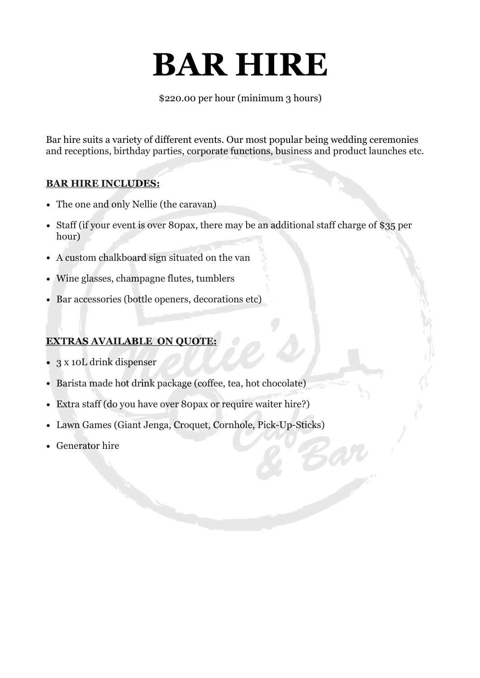## **BAR HIRE**

\$220.00 per hour (minimum 3 hours)

Bar hire suits a variety of different events. Our most popular being wedding ceremonies and receptions, birthday parties, corporate functions, business and product launches etc.

#### **BAR HIRE INCLUDES:**

- The one and only Nellie (the caravan)
- Staff (if your event is over 80pax, there may be an additional staff charge of \$35 per hour)
- A custom chalkboard sign situated on the van
- Wine glasses, champagne flutes, tumblers
- Bar accessories (bottle openers, decorations etc)

#### **EXTRAS AVAILABLE ON QUOTE:**

- 3 x 10L drink dispenser
- Barista made hot drink package (coffee, tea, hot chocolate)
- Extra staff (do you have over 80pax or require waiter hire?)
- Lawn Games (Giant Jenga, Croquet, Cornhole, Pick-Up-Sticks)
- Generator hire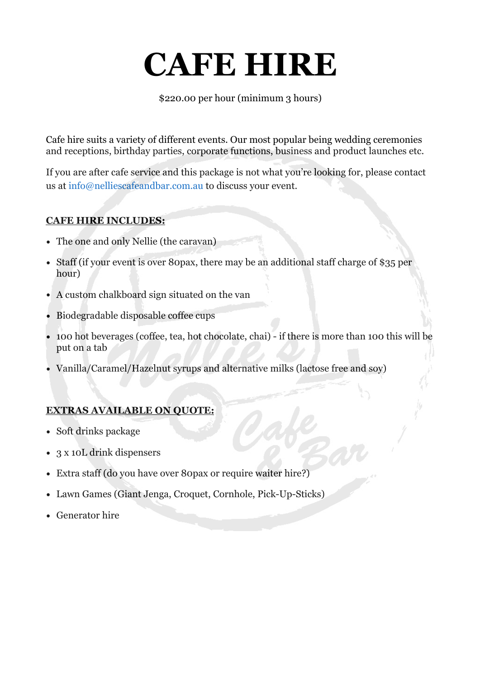## **CAFE HIRE**

\$220.00 per hour (minimum 3 hours)

Cafe hire suits a variety of different events. Our most popular being wedding ceremonies and receptions, birthday parties, corporate functions, business and product launches etc.

If you are after cafe service and this package is not what you're looking for, please contact us at info@nelliescafeandbar.com.au to discuss your event.

#### **CAFE HIRE INCLUDES:**

- The one and only Nellie (the caravan)
- Staff (if your event is over 80pax, there may be an additional staff charge of \$35 per hour)
- A custom chalkboard sign situated on the van
- Biodegradable disposable coffee cups
- 100 hot beverages (coffee, tea, hot chocolate, chai) if there is more than 100 this will be put on a tab
- Vanilla/Caramel/Hazelnut syrups and alternative milks (lactose free and soy)

#### **EXTRAS AVAILABLE ON QUOTE:**

- Soft drinks package
- 3 x 10L drink dispensers
- Extra staff (do you have over 80pax or require waiter hire?)
- Lawn Games (Giant Jenga, Croquet, Cornhole, Pick-Up-Sticks)
- Generator hire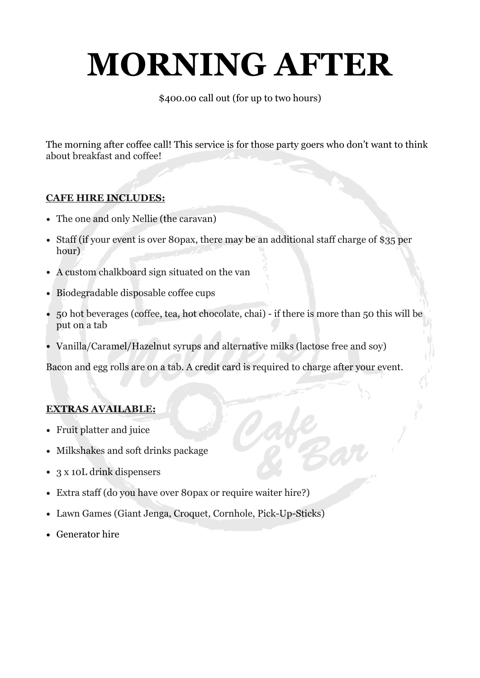# **MORNING AFTER**

\$400.00 call out (for up to two hours)

The morning after coffee call! This service is for those party goers who don't want to think about breakfast and coffee!

### **CAFE HIRE INCLUDES:**

- The one and only Nellie (the caravan)
- Staff (if your event is over 80pax, there may be an additional staff charge of \$35 per hour)
- A custom chalkboard sign situated on the van
- Biodegradable disposable coffee cups
- 50 hot beverages (coffee, tea, hot chocolate, chai) if there is more than 50 this will be put on a tab
- Vanilla/Caramel/Hazelnut syrups and alternative milks (lactose free and soy)

Bacon and egg rolls are on a tab. A credit card is required to charge after your event.

#### **EXTRAS AVAILABLE:**

- Fruit platter and juice
- Milkshakes and soft drinks package
- 3 x 10L drink dispensers
- Extra staff (do you have over 80pax or require waiter hire?)
- Lawn Games (Giant Jenga, Croquet, Cornhole, Pick-Up-Sticks)
- Generator hire